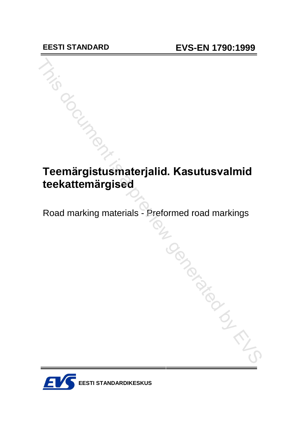# **Teem‰rgistusmaterjalid. Kasutusvalmid teekattem‰rgised** Teemärgistusmaterjalid. Kasutusvalmid<br>teekattemärgised<br>Road marking materials - Preformed road markings<br>Allen Conditions of Conditions of Conditions of Conditions of Conditions of Conditions of Conditions of Conditions of

Road marking materials - Preformed road markings

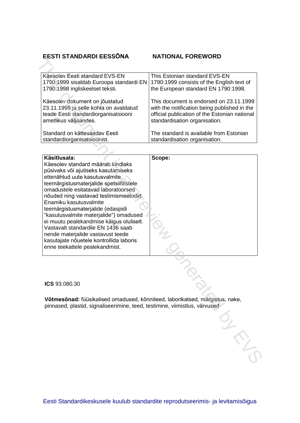# **EESTI STANDARDI EESS'NA NATIONAL FOREWORD**

| Käesolev Eesti standard EVS-EN                                           | This Estonian standard EVS-EN                 |  |
|--------------------------------------------------------------------------|-----------------------------------------------|--|
| 1790:1999 sisaldab Euroopa standardi EN                                  | 1790:1999 consists of the English text of     |  |
| 1790:1998 ingliskeelset teksti.                                          | the European standard EN 1790:1998.           |  |
|                                                                          | This document is endorsed on 23.11.1999       |  |
| Käesolev dokument on jõustatud<br>23.11.1999 ja selle kohta on avaldatud | with the notification being published in the  |  |
| teade Eesti standardiorganisatsiooni                                     | official publication of the Estonian national |  |
| ametlikus väljaandes.                                                    | standardisation organisation.                 |  |
|                                                                          |                                               |  |
| Standard on kättesaadav Eesti                                            | The standard is available from Estonian       |  |
| standardiorganisatsioonist.                                              | standardisation organisation.                 |  |

| Käesolev Eesti standard EVS-EN                                                     | This Estonian standard EVS-EN                 |
|------------------------------------------------------------------------------------|-----------------------------------------------|
| 1790:1999 sisaldab Euroopa standardi EN                                            | 1790:1999 consists of the English text of     |
| 1790:1998 ingliskeelset teksti.                                                    | the European standard EN 1790:1998.           |
| Käesolev dokument on jõustatud                                                     | This document is endorsed on 23.11.1999       |
| 23.11.1999 ja selle kohta on avaldatud                                             | with the notification being published in the  |
| teade Eesti standardiorganisatsiooni                                               | official publication of the Estonian national |
| ametlikus väljaandes.                                                              | standardisation organisation.                 |
| Standard on kättesaadav Eesti                                                      | The standard is available from Estonian       |
| standardiorganisatsioonist.                                                        | standardisation organisation.                 |
|                                                                                    |                                               |
| Käsitlusala:                                                                       | Scope:                                        |
| Käesolev standard määrab kindlaks                                                  |                                               |
| püsivaks või ajutiseks kasutamiseks                                                |                                               |
| ettenähtud uute kasutusvalmite                                                     |                                               |
| teemärgistusmaterjalide spetsiifilistele                                           |                                               |
| omadustele esitatavad laboratoorsed                                                |                                               |
| nõuded ning vastavad testimismeetodid.<br>Enamiku kasutusvalmite                   |                                               |
|                                                                                    |                                               |
| teemärgistusmaterjalide (edaspidi                                                  |                                               |
| "kasutusvalmite materjalide") omadused<br>ei muutu pealekandmise käigus oluliselt. |                                               |
| Vastavalt standardile EN 1436 saab                                                 |                                               |
| nende materjalide vastavust teede                                                  |                                               |
| kasutajate nõuetele kontrollida laboris                                            |                                               |
| enne teekattele pealekandmist.                                                     |                                               |
|                                                                                    |                                               |
|                                                                                    |                                               |
|                                                                                    |                                               |
|                                                                                    |                                               |
| ICS 93.080.30                                                                      |                                               |
| Võtmesõnad: füüsikalised omadused, kõnniteed, laborikatsed, märgistus, nake,       |                                               |
| pinnased, plastid, signaliseerimine, teed, testimine, viimistlus, värvused         |                                               |
|                                                                                    |                                               |
|                                                                                    |                                               |
|                                                                                    |                                               |
|                                                                                    |                                               |
|                                                                                    |                                               |
|                                                                                    |                                               |
|                                                                                    |                                               |
|                                                                                    |                                               |

Eesti Standardikeskusele kuulub standardite reprodutseerimis- ja levitamisõigus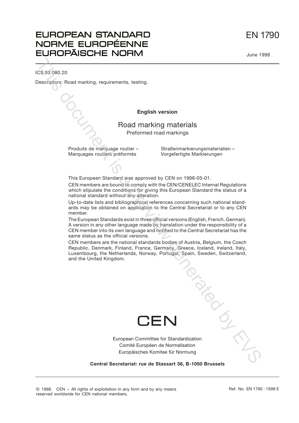EN 1790

June 1998

# **EUROPEAN STANDARD** NORME EUROPÉENNE **EUROPÄISCHE NORM**

ICS 93.080.20

Descriptors: Road marking, requirements, testing.

## **English version**

# Road marking materials Preformed road markings

Produits de marquage routier –

Straßenmarkierungsmaterialien – Vorgefertigte Markierungen

This European Standard was approved by CEN on 1998-05-01.

CEN members are bound to comply with the CEN/CENELEC Internal Regulations which stipulate the conditions for giving this European Standard the status of a national standard without any alteration.

Up-to-date lists and bibliographical references concerning such national standards may be obtained on application to the Central Secretariat or to any CEN member.

The European Standards exist in three official versions (English, French, German). A version in any other language made by translation under the responsibility of a CEN member into its own language and notified to the Central Secretariat has the same status as the official versions.

CEN members are the national standards bodies of Austria, Belgium, the Czech Republic, Denmark, Finland, France, Germany, Greece, Iceland, Ireland, Italy, Luxembourg, the Netherlands, Norway, Portugal, Spain, Sweden, Switzerland, and the United Kingdom. Marquages routiers préformés Vorgefertigte Markierungen<br>
This European Standard was approved by CEN on 1998-05-01.<br>
CEN members are bound to comply with the CEN/CENELEC Internal Regulations<br>
which stipulate the conditions



European Committee for Standardization Comité Européen de Normalisation Europäisches Komitee für Normung

**Central Secretariat: rue de Stassart 36, B-1050 Brussels**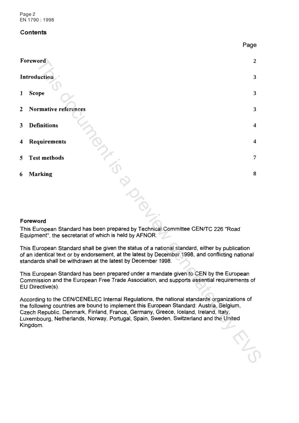Page 2 EN 1790 : 1998

# **Contents**

|   |                                                                                                                                                                                                                                                                                                                                                                                   | Page           |
|---|-----------------------------------------------------------------------------------------------------------------------------------------------------------------------------------------------------------------------------------------------------------------------------------------------------------------------------------------------------------------------------------|----------------|
|   | Foreword                                                                                                                                                                                                                                                                                                                                                                          | $\overline{2}$ |
|   | Introduction                                                                                                                                                                                                                                                                                                                                                                      | 3              |
| 1 | <b>Scope</b>                                                                                                                                                                                                                                                                                                                                                                      | 3              |
| 2 | <b>Normative references</b>                                                                                                                                                                                                                                                                                                                                                       | 3              |
| 3 | <b>Definitions</b>                                                                                                                                                                                                                                                                                                                                                                | 4              |
| 4 | <b>Requirements</b>                                                                                                                                                                                                                                                                                                                                                               | 4              |
| 5 | <b>Test methods</b>                                                                                                                                                                                                                                                                                                                                                               | 7              |
| 6 | <b>Marking</b>                                                                                                                                                                                                                                                                                                                                                                    | 8              |
|   | Foreword<br>This European Standard has been prepared by Technical Committee CEN/TC 226 "Road<br>Equipment", the secretariat of which is held by AFNOR.                                                                                                                                                                                                                            |                |
|   | This European Standard shall be given the status of a national standard, either by publication<br>of an identical text or by endorsement, at the latest by December 1998, and conflicting national<br>standards shall be withdrawn at the latest by December 1998.                                                                                                                |                |
|   | This European Standard has been prepared under a mandate given to CEN by the European<br>Commission and the European Free Trade Association, and supports essential requirements of<br>EU Directive(s).                                                                                                                                                                           |                |
|   | According to the CEN/CENELEC Internal Regulations, the national standards organizations of<br>the following countries are bound to implement this European Standard: Austria, Belgium,<br>Czech Republic, Denmark, Finland, France, Germany, Greece, Iceland, Ireland, Italy,<br>Luxembourg, Netherlands, Norway, Portugal, Spain, Sweden, Switzerland and the United<br>Kingdom. |                |
|   |                                                                                                                                                                                                                                                                                                                                                                                   |                |